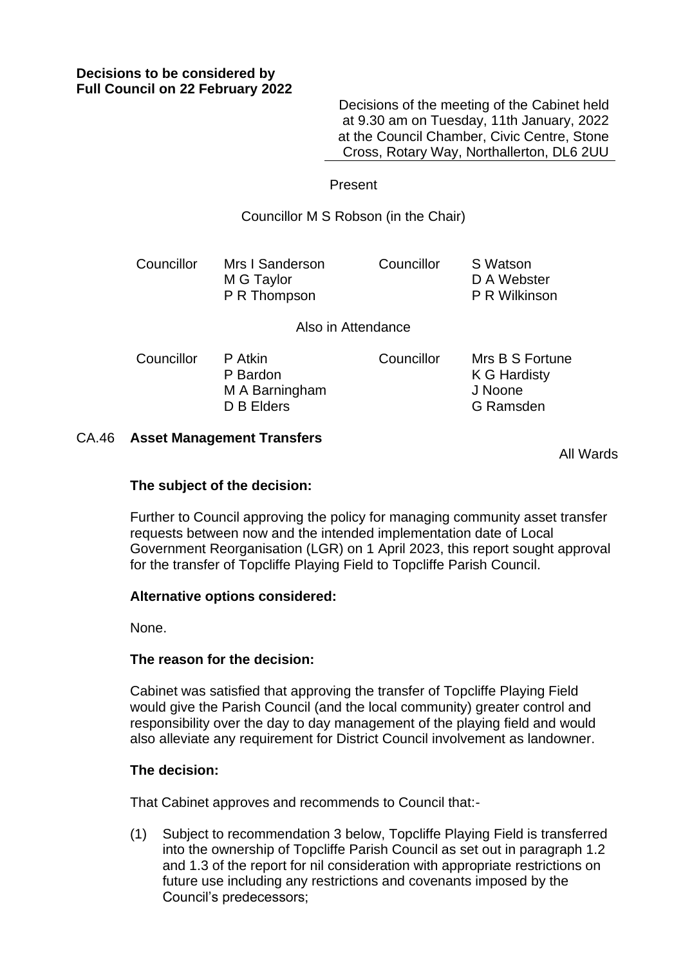Decisions of the meeting of the Cabinet held at 9.30 am on Tuesday, 11th January, 2022 at the Council Chamber, Civic Centre, Stone Cross, Rotary Way, Northallerton, DL6 2UU

## Present

Councillor M S Robson (in the Chair)

| Councillor | Mrs I Sanderson | Councillor | S Watson             |
|------------|-----------------|------------|----------------------|
|            | M G Taylor      |            | D A Webster          |
|            | P R Thompson    |            | <b>P R Wilkinson</b> |

#### Also in Attendance

| Councillor | P Atkin        | Councillor | Mrs B S Fortune |
|------------|----------------|------------|-----------------|
|            | P Bardon       |            | K G Hardisty    |
|            | M A Barningham |            | J Noone         |
|            | D B Elders     |            | G Ramsden       |

# CA.46 **Asset Management Transfers**

All Wards

### **The subject of the decision:**

Further to Council approving the policy for managing community asset transfer requests between now and the intended implementation date of Local Government Reorganisation (LGR) on 1 April 2023, this report sought approval for the transfer of Topcliffe Playing Field to Topcliffe Parish Council.

### **Alternative options considered:**

None.

### **The reason for the decision:**

Cabinet was satisfied that approving the transfer of Topcliffe Playing Field would give the Parish Council (and the local community) greater control and responsibility over the day to day management of the playing field and would also alleviate any requirement for District Council involvement as landowner.

### **The decision:**

That Cabinet approves and recommends to Council that:-

(1) Subject to recommendation 3 below, Topcliffe Playing Field is transferred into the ownership of Topcliffe Parish Council as set out in paragraph 1.2 and 1.3 of the report for nil consideration with appropriate restrictions on future use including any restrictions and covenants imposed by the Council's predecessors;